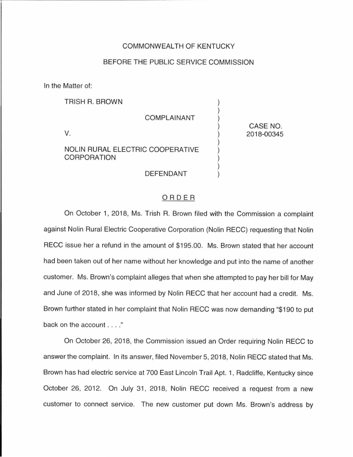## COMMONWEALTH OF KENTUCKY

## BEFORE THE PUBLIC SERVICE COMMISSION

In the Matter of:

| <b>TRISH R. BROWN</b>                                  |            |
|--------------------------------------------------------|------------|
| <b>COMPLAINANT</b>                                     | CASE NO.   |
| V.                                                     | 2018-00345 |
| NOLIN RURAL ELECTRIC COOPERATIVE<br><b>CORPORATION</b> |            |
| DEFENDANT                                              |            |

## ORDER

On October 1, 2018, Ms. Trish R. Brown filed with the Commission a complaint against Nolin Rural Electric Cooperative Corporation (Nolin RECC) requesting that Nolin RECC issue her a refund in the amount of \$195.00. Ms. Brown stated that her account had been taken out of her name without her knowledge and put into the name of another customer. Ms. Brown's complaint alleges that when she attempted to pay her bill for May and June of 2018, she was informed by Nolin RECC that her account had a credit. Ms. Brown further stated in her complaint that Nolin RECC was now demanding "\$190 to put back on the account . . . ."

On October 26, 2018, the Commission issued an Order requiring Nolin RECC to answer the complaint. In its answer, filed November 5, 2018, Nolin RECC stated that Ms. Brown has had electric service at 700 East Lincoln Trail Apt. 1, Radcliffe, Kentucky since October 26, 2012. On July 31, 2018, Nolin RECC received a request from a new customer to connect service. The new customer put down Ms. Brown's address by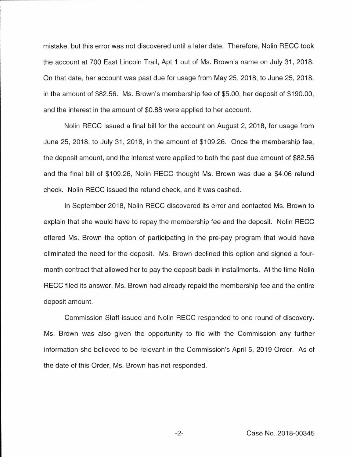mistake, but this error was not discovered until a later date. Therefore, Nolin RECC took the account at 700 East Lincoln Trail, Apt 1 out of Ms. Brown's name on July 31, 2018. On that date, her account was past due for usage from May 25, 2018, to June 25, 2018, in the amount of \$82.56. Ms. Brown's membership fee of \$5.00, her deposit of \$190.00, and the interest in the amount of \$0.88 were applied to her account.

Nolin RECC issued a final bill for the account on August 2, 2018, for usage from June 25, 2018, to July 31, 2018, in the amount of \$109.26. Once the membership fee, the deposit amount, and the interest were applied to both the past due amount of \$82.56 and the final bill of \$109.26, Nolin RECC thought Ms. Brown was due a \$4.06 refund check. Nolin RECC issued the refund check, and it was cashed.

In September 2018, Nolin RECC discovered its error and contacted Ms. Brown to explain that she would have to repay the membership fee and the deposit. Nolin RECC offered Ms. Brown the option of participating in the pre-pay program that would have eliminated the need for the deposit. Ms. Brown declined this option and signed a fourmonth contract that allowed her to pay the deposit back in installments. At the time Nolin RECC filed its answer, Ms. Brown had already repaid the membership fee and the entire deposit amount.

Commission Staff issued and Nolin RECC responded to one round of discovery. Ms. Brown was also given the opportunity to file with the Commission any further information she believed to be relevant in the Commission's April 5, 2019 Order. As of the date of this Order, Ms. Brown has not responded.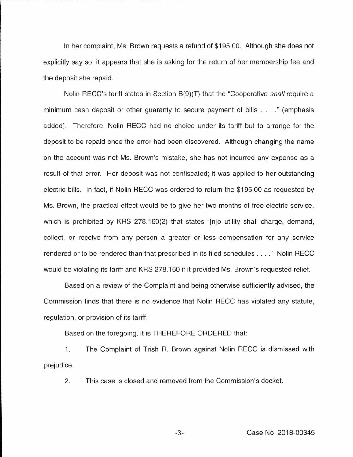In her complaint, Ms. Brown requests a refund of \$195.00. Although she does not explicitly say so, it appears that she is asking for the return of her membership fee and the deposit she repaid.

Nolin RECC's tariff states in Section B(9)(T) that the "Cooperative shall require a minimum cash deposit or other guaranty to secure payment of bills . ... " (emphasis added). Therefore, Nolin RECC had no choice under its tariff but to arrange for the deposit to be repaid once the error had been discovered. Although changing the name on the account was not Ms. Brown's mistake, she has not incurred any expense as a result of that error. Her deposit was not confiscated; it was applied to her outstanding electric bills. In fact, if Nolin RECC was ordered to return the \$195.00 as requested by Ms. Brown, the practical effect would be to give her two months of free electric service, which is prohibited by KRS 278.160(2) that states "[n]o utility shall charge, demand, collect, or receive from any person a greater or less compensation for any service rendered or to be rendered than that prescribed in its filed schedules .. .. " Nolin RECC would be violating its tariff and KRS 278.160 if it provided Ms. Brown's requested relief.

Based on a review of the Complaint and being otherwise sufficiently advised, the Commission finds that there is no evidence that Nolin RECC has violated any statute, regulation, or provision of its tariff.

Based on the foregoing, it is THEREFORE ORDERED that:

1. The Complaint of Trish R. Brown against Nolin RECC is dismissed with prejudice.

2. This case is closed and removed from the Commission's docket.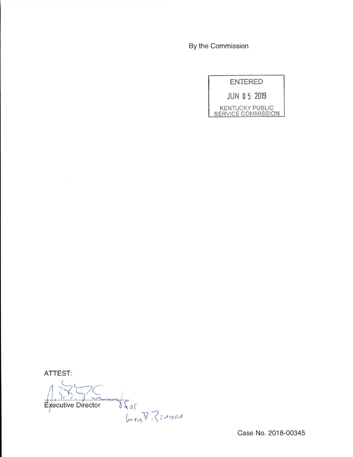By the Commission

ENTERED JUN 0 5 2019

KENTUCKY PUBLIC SERVICE COMMISSION

ATTEST:

Stor<br>Gen: S. Thom **Executive Director** 

Case No. 2018-00345